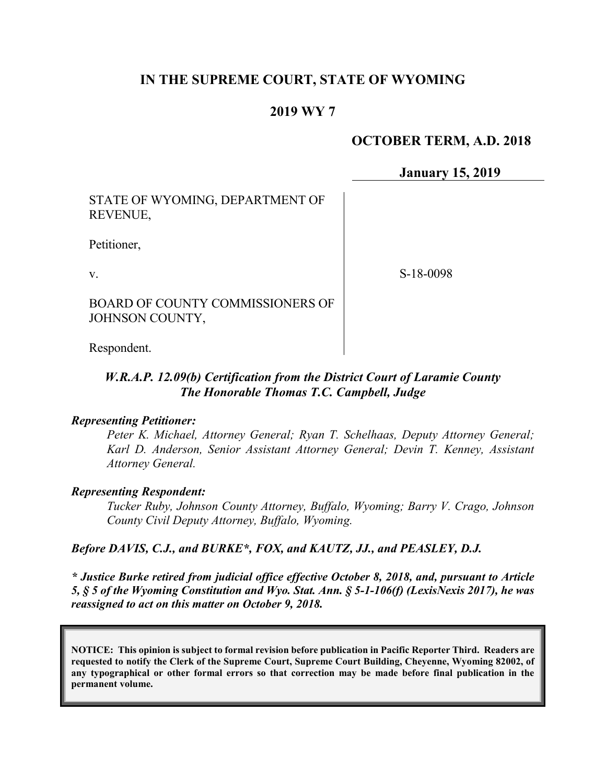## **IN THE SUPREME COURT, STATE OF WYOMING**

### **2019 WY 7**

### **OCTOBER TERM, A.D. 2018**

**January 15, 2019**

STATE OF WYOMING, DEPARTMENT OF REVENUE,

Petitioner,

v.

S-18-0098

BOARD OF COUNTY COMMISSIONERS OF JOHNSON COUNTY,

Respondent.

### *W.R.A.P. 12.09(b) Certification from the District Court of Laramie County The Honorable Thomas T.C. Campbell, Judge*

#### *Representing Petitioner:*

*Peter K. Michael, Attorney General; Ryan T. Schelhaas, Deputy Attorney General; Karl D. Anderson, Senior Assistant Attorney General; Devin T. Kenney, Assistant Attorney General.* 

#### *Representing Respondent:*

*Tucker Ruby, Johnson County Attorney, Buffalo, Wyoming; Barry V. Crago, Johnson County Civil Deputy Attorney, Buffalo, Wyoming.*

#### *Before DAVIS, C.J., and BURKE\*, FOX, and KAUTZ, JJ., and PEASLEY, D.J.*

*\* Justice Burke retired from judicial office effective October 8, 2018, and, pursuant to Article 5, § 5 of the Wyoming Constitution and Wyo. Stat. Ann. § 5-1-106(f) (LexisNexis 2017), he was reassigned to act on this matter on October 9, 2018.*

**NOTICE: This opinion is subject to formal revision before publication in Pacific Reporter Third. Readers are requested to notify the Clerk of the Supreme Court, Supreme Court Building, Cheyenne, Wyoming 82002, of any typographical or other formal errors so that correction may be made before final publication in the permanent volume.**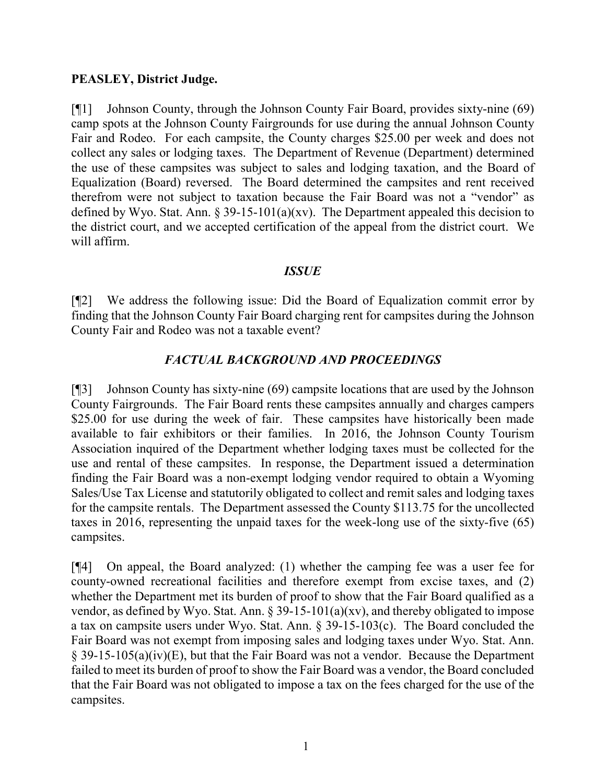#### **PEASLEY, District Judge.**

[¶1] Johnson County, through the Johnson County Fair Board, provides sixty-nine (69) camp spots at the Johnson County Fairgrounds for use during the annual Johnson County Fair and Rodeo. For each campsite, the County charges \$25.00 per week and does not collect any sales or lodging taxes. The Department of Revenue (Department) determined the use of these campsites was subject to sales and lodging taxation, and the Board of Equalization (Board) reversed. The Board determined the campsites and rent received therefrom were not subject to taxation because the Fair Board was not a "vendor" as defined by Wyo. Stat. Ann.  $\S 39-15-101(a)(xv)$ . The Department appealed this decision to the district court, and we accepted certification of the appeal from the district court. We will affirm.

### *ISSUE*

[¶2] We address the following issue: Did the Board of Equalization commit error by finding that the Johnson County Fair Board charging rent for campsites during the Johnson County Fair and Rodeo was not a taxable event?

### *FACTUAL BACKGROUND AND PROCEEDINGS*

[¶3] Johnson County has sixty-nine (69) campsite locations that are used by the Johnson County Fairgrounds. The Fair Board rents these campsites annually and charges campers \$25.00 for use during the week of fair. These campsites have historically been made available to fair exhibitors or their families. In 2016, the Johnson County Tourism Association inquired of the Department whether lodging taxes must be collected for the use and rental of these campsites. In response, the Department issued a determination finding the Fair Board was a non-exempt lodging vendor required to obtain a Wyoming Sales/Use Tax License and statutorily obligated to collect and remit sales and lodging taxes for the campsite rentals. The Department assessed the County \$113.75 for the uncollected taxes in 2016, representing the unpaid taxes for the week-long use of the sixty-five (65) campsites.

[¶4] On appeal, the Board analyzed: (1) whether the camping fee was a user fee for county-owned recreational facilities and therefore exempt from excise taxes, and (2) whether the Department met its burden of proof to show that the Fair Board qualified as a vendor, as defined by Wyo. Stat. Ann. § 39-15-101(a)(xv), and thereby obligated to impose a tax on campsite users under Wyo. Stat. Ann. § 39-15-103(c). The Board concluded the Fair Board was not exempt from imposing sales and lodging taxes under Wyo. Stat. Ann. § 39-15-105(a)(iv)(E), but that the Fair Board was not a vendor. Because the Department failed to meet its burden of proof to show the Fair Board was a vendor, the Board concluded that the Fair Board was not obligated to impose a tax on the fees charged for the use of the campsites.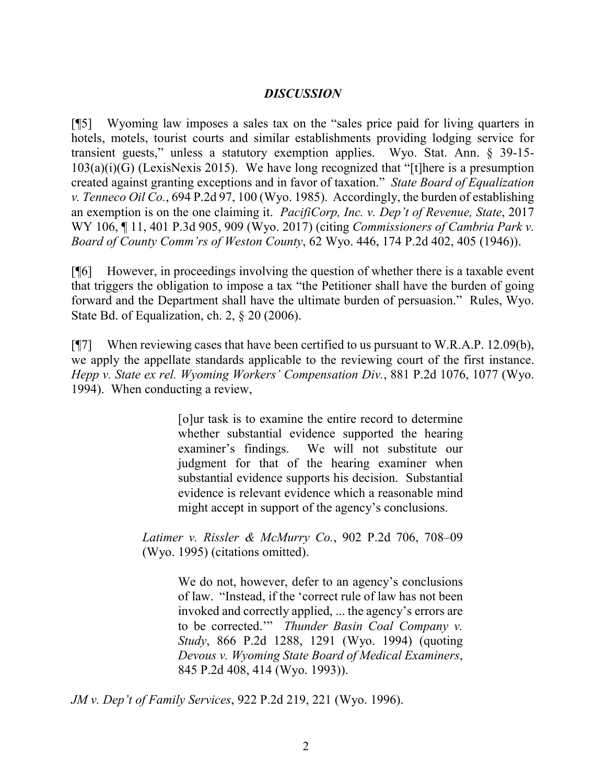### *DISCUSSION*

[¶5] Wyoming law imposes a sales tax on the "sales price paid for living quarters in hotels, motels, tourist courts and similar establishments providing lodging service for transient guests," unless a statutory exemption applies. Wyo. Stat. Ann. § 39-15-  $103(a)(i)(G)$  (LexisNexis 2015). We have long recognized that "[t] here is a presumption created against granting exceptions and in favor of taxation." *State Board of Equalization v. Tenneco Oil Co.*, 694 P.2d 97, 100 (Wyo. 1985). Accordingly, the burden of establishing an exemption is on the one claiming it. *PacifiCorp, Inc. v. Dep't of Revenue, State*, 2017 WY 106, ¶ 11, 401 P.3d 905, 909 (Wyo. 2017) (citing *Commissioners of Cambria Park v. Board of County Comm'rs of Weston County*, 62 Wyo. 446, 174 P.2d 402, 405 (1946)).

[¶6] However, in proceedings involving the question of whether there is a taxable event that triggers the obligation to impose a tax "the Petitioner shall have the burden of going forward and the Department shall have the ultimate burden of persuasion." Rules, Wyo. State Bd. of Equalization, ch. 2, § 20 (2006).

[ $\mathbb{I}$ ] When reviewing cases that have been certified to us pursuant to W.R.A.P. 12.09(b), we apply the appellate standards applicable to the reviewing court of the first instance. *Hepp v. State ex rel. Wyoming Workers' Compensation Div.*, 881 P.2d 1076, 1077 (Wyo. 1994). When conducting a review,

> [o]ur task is to examine the entire record to determine whether substantial evidence supported the hearing examiner's findings. We will not substitute our judgment for that of the hearing examiner when substantial evidence supports his decision. Substantial evidence is relevant evidence which a reasonable mind might accept in support of the agency's conclusions.

*Latimer v. Rissler & McMurry Co.*, 902 P.2d 706, 708–09 (Wyo. 1995) (citations omitted).

> We do not, however, defer to an agency's conclusions of law. "Instead, if the 'correct rule of law has not been invoked and correctly applied, ... the agency's errors are to be corrected.'" *Thunder Basin Coal Company v. Study*, 866 P.2d 1288, 1291 (Wyo. 1994) (quoting *Devous v. Wyoming State Board of Medical Examiners*, 845 P.2d 408, 414 (Wyo. 1993)).

*JM v. Dep't of Family Services*, 922 P.2d 219, 221 (Wyo. 1996).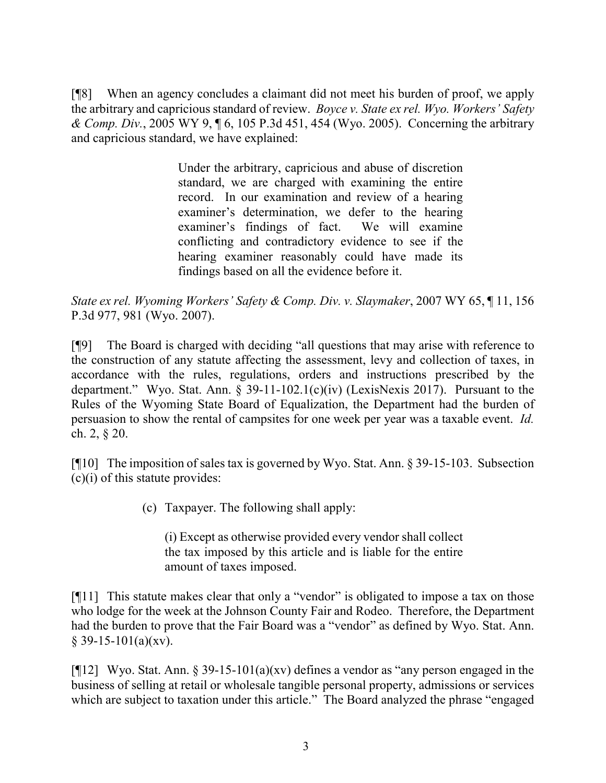[¶8] When an agency concludes a claimant did not meet his burden of proof, we apply the arbitrary and capricious standard of review. *Boyce v. State ex rel. Wyo. Workers' Safety & Comp. Div.*, 2005 WY 9, ¶ 6, 105 P.3d 451, 454 (Wyo. 2005). Concerning the arbitrary and capricious standard, we have explained:

> Under the arbitrary, capricious and abuse of discretion standard, we are charged with examining the entire record. In our examination and review of a hearing examiner's determination, we defer to the hearing examiner's findings of fact. We will examine conflicting and contradictory evidence to see if the hearing examiner reasonably could have made its findings based on all the evidence before it.

*State ex rel. Wyoming Workers' Safety & Comp. Div. v. Slaymaker*, 2007 WY 65, ¶ 11, 156 P.3d 977, 981 (Wyo. 2007).

[¶9] The Board is charged with deciding "all questions that may arise with reference to the construction of any statute affecting the assessment, levy and collection of taxes, in accordance with the rules, regulations, orders and instructions prescribed by the department." Wyo. Stat. Ann. § 39-11-102.1(c)(iv) (LexisNexis 2017). Pursuant to the Rules of the Wyoming State Board of Equalization, the Department had the burden of persuasion to show the rental of campsites for one week per year was a taxable event. *Id.* ch. 2, § 20.

[¶10] The imposition of sales tax is governed by Wyo. Stat. Ann. § 39-15-103. Subsection  $(c)(i)$  of this statute provides:

(c) Taxpayer. The following shall apply:

(i) Except as otherwise provided every vendor shall collect the tax imposed by this article and is liable for the entire amount of taxes imposed.

[¶11] This statute makes clear that only a "vendor" is obligated to impose a tax on those who lodge for the week at the Johnson County Fair and Rodeo. Therefore, the Department had the burden to prove that the Fair Board was a "vendor" as defined by Wyo. Stat. Ann.  $§$  39-15-101(a)(xv).

[ $[12]$  Wyo. Stat. Ann. § 39-15-101(a)(xv) defines a vendor as "any person engaged in the business of selling at retail or wholesale tangible personal property, admissions or services which are subject to taxation under this article." The Board analyzed the phrase "engaged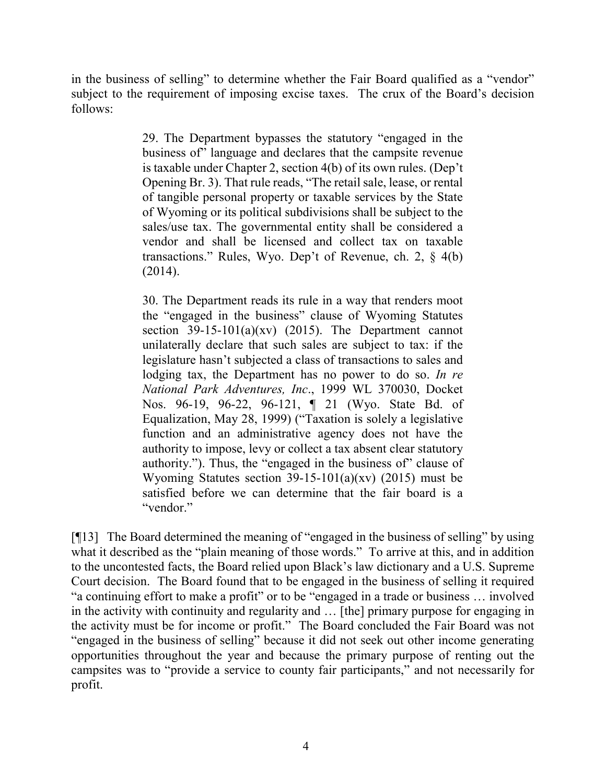in the business of selling" to determine whether the Fair Board qualified as a "vendor" subject to the requirement of imposing excise taxes. The crux of the Board's decision follows:

> 29. The Department bypasses the statutory "engaged in the business of" language and declares that the campsite revenue is taxable under Chapter 2, section 4(b) of its own rules. (Dep't Opening Br. 3). That rule reads, "The retail sale, lease, or rental of tangible personal property or taxable services by the State of Wyoming or its political subdivisions shall be subject to the sales/use tax. The governmental entity shall be considered a vendor and shall be licensed and collect tax on taxable transactions." Rules, Wyo. Dep't of Revenue, ch. 2, § 4(b) (2014).

> 30. The Department reads its rule in a way that renders moot the "engaged in the business" clause of Wyoming Statutes section  $39-15-101(a)(xv)$  (2015). The Department cannot unilaterally declare that such sales are subject to tax: if the legislature hasn't subjected a class of transactions to sales and lodging tax, the Department has no power to do so. *In re National Park Adventures, Inc*., 1999 WL 370030, Docket Nos. 96-19, 96-22, 96-121, ¶ 21 (Wyo. State Bd. of Equalization, May 28, 1999) ("Taxation is solely a legislative function and an administrative agency does not have the authority to impose, levy or collect a tax absent clear statutory authority."). Thus, the "engaged in the business of" clause of Wyoming Statutes section  $39-15-101(a)(xv)$  (2015) must be satisfied before we can determine that the fair board is a "vendor."

[¶13] The Board determined the meaning of "engaged in the business of selling" by using what it described as the "plain meaning of those words." To arrive at this, and in addition to the uncontested facts, the Board relied upon Black's law dictionary and a U.S. Supreme Court decision. The Board found that to be engaged in the business of selling it required "a continuing effort to make a profit" or to be "engaged in a trade or business … involved in the activity with continuity and regularity and … [the] primary purpose for engaging in the activity must be for income or profit." The Board concluded the Fair Board was not "engaged in the business of selling" because it did not seek out other income generating opportunities throughout the year and because the primary purpose of renting out the campsites was to "provide a service to county fair participants," and not necessarily for profit.